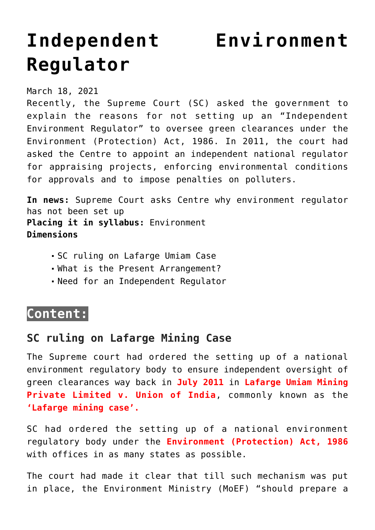# **[Independent Environment](https://journalsofindia.com/independent-environment-regulator-2/) [Regulator](https://journalsofindia.com/independent-environment-regulator-2/)**

March 18, 2021

Recently, the Supreme Court (SC) asked the government to explain the reasons for not setting up an "Independent Environment Regulator" to oversee green clearances under the Environment (Protection) Act, 1986. In 2011, the court had asked the Centre to appoint an independent national regulator for appraising projects, enforcing environmental conditions for approvals and to impose penalties on polluters.

**In news:** Supreme Court asks Centre why environment regulator has not been set up **Placing it in syllabus:** Environment **Dimensions**

- SC ruling on Lafarge Umiam Case
- What is the Present Arrangement?
- Need for an Independent Regulator

# **Content:**

## **SC ruling on Lafarge Mining Case**

The Supreme court had ordered the setting up of a national environment regulatory body to ensure independent oversight of green clearances way back in **July 2011** in **Lafarge Umiam Mining Private Limited v. Union of India**, commonly known as the **'Lafarge mining case'.** 

SC had ordered the setting up of a national environment regulatory body under the **Environment (Protection) Act, 1986** with offices in as many states as possible.

The court had made it clear that till such mechanism was put in place, the Environment Ministry (MoEF) "should prepare a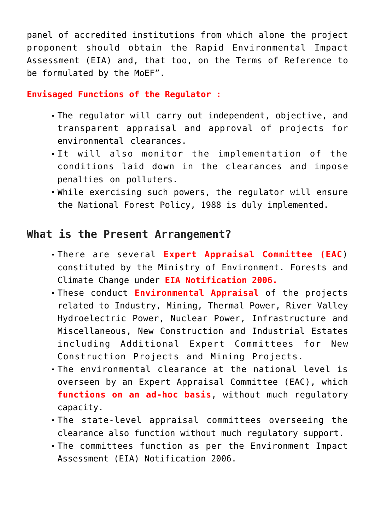panel of accredited institutions from which alone the project proponent should obtain the Rapid Environmental Impact Assessment (EIA) and, that too, on the Terms of Reference to be formulated by the MoEF".

#### **Envisaged Functions of the Regulator :**

- The regulator will carry out independent, objective, and transparent appraisal and approval of projects for environmental clearances.
- It will also monitor the implementation of the conditions laid down in the clearances and impose penalties on polluters.
- While exercising such powers, the regulator will ensure the National Forest Policy, 1988 is duly implemented.

## **What is the Present Arrangement?**

- There are several **Expert Appraisal Committee (EAC**) constituted by the Ministry of Environment. Forests and Climate Change under **EIA Notification 2006.**
- These conduct **Environmental Appraisal** of the projects related to Industry, Mining, Thermal Power, River Valley Hydroelectric Power, Nuclear Power, Infrastructure and Miscellaneous, New Construction and Industrial Estates including Additional Expert Committees for New Construction Projects and Mining Projects.
- The environmental clearance at the national level is overseen by an Expert Appraisal Committee (EAC), which **functions on an ad-hoc basis**, without much regulatory capacity.
- The state-level appraisal committees overseeing the clearance also function without much regulatory support.
- The committees function as per the Environment Impact Assessment (EIA) Notification 2006.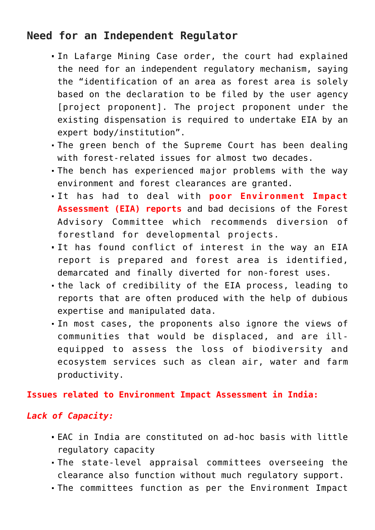## **Need for an Independent Regulator**

- In Lafarge Mining Case order, the court had explained the need for an independent regulatory mechanism, saying the "identification of an area as forest area is solely based on the declaration to be filed by the user agency [project proponent]. The project proponent under the existing dispensation is required to undertake EIA by an expert body/institution".
- The green bench of the Supreme Court has been dealing with forest-related issues for almost two decades.
- The bench has experienced major problems with the way environment and forest clearances are granted.
- It has had to deal with **poor Environment Impact Assessment (EIA) reports** and bad decisions of the Forest Advisory Committee which recommends diversion of forestland for developmental projects.
- It has found conflict of interest in the way an EIA report is prepared and forest area is identified, demarcated and finally diverted for non-forest uses.
- the lack of credibility of the EIA process, leading to reports that are often produced with the help of dubious expertise and manipulated data.
- In most cases, the proponents also ignore the views of communities that would be displaced, and are illequipped to assess the loss of biodiversity and ecosystem services such as clean air, water and farm productivity.

#### **Issues related to Environment Impact Assessment in India:**

## *Lack of Capacity:*

- EAC in India are constituted on ad-hoc basis with little regulatory capacity
- The state-level appraisal committees overseeing the clearance also function without much regulatory support.
- The committees function as per the Environment Impact